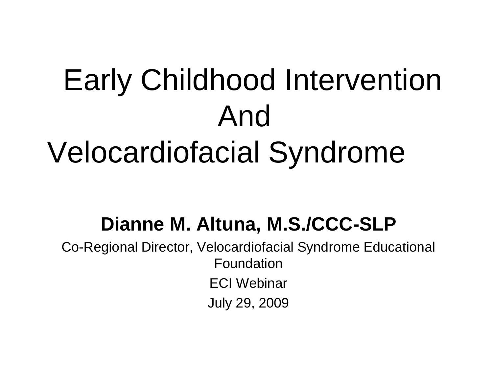## Early Childhood Intervention And Velocardiofacial Syndrome

### **Dianne M. Altuna, M.S./CCC-SLP**

Co-Regional Director, Velocardiofacial Syndrome Educational Foundation ECI Webinar July 29, 2009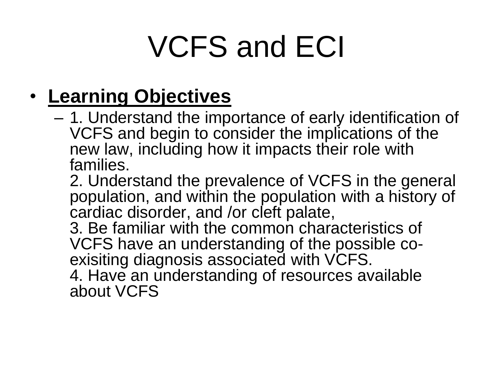### • **Learning Objectives**

– 1. Understand the importance of early identification of VCFS and begin to consider the implications of the new law, including how it impacts their role with families.

2. Understand the prevalence of VCFS in the general population, and within the population with a history of cardiac disorder, and /or cleft palate,

3. Be familiar with the common characteristics of VCFS have an understanding of the possible coexisiting diagnosis associated with VCFS.

4. Have an understanding of resources available about VCFS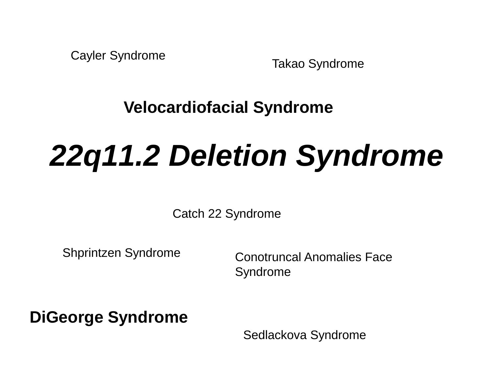Cayler Syndrome

Takao Syndrome

**Velocardiofacial Syndrome**

# *22q11.2 Deletion Syndrome*

Catch 22 Syndrome

Shprintzen Syndrome

Conotruncal Anomalies Face Syndrome

**DiGeorge Syndrome**

Sedlackova Syndrome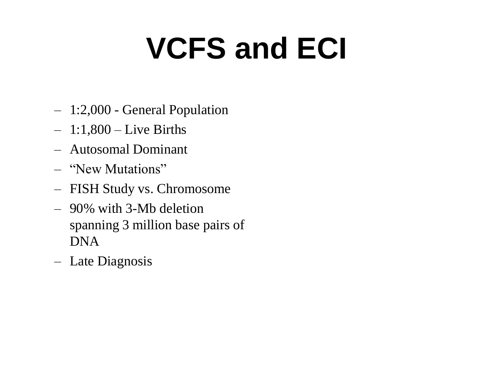- 1:2,000 General Population
- $-1:1,800$  Live Births
- Autosomal Dominant
- "New Mutations"
- FISH Study vs. Chromosome
- 90% with 3-Mb deletion spanning 3 million base pairs of DNA
- Late Diagnosis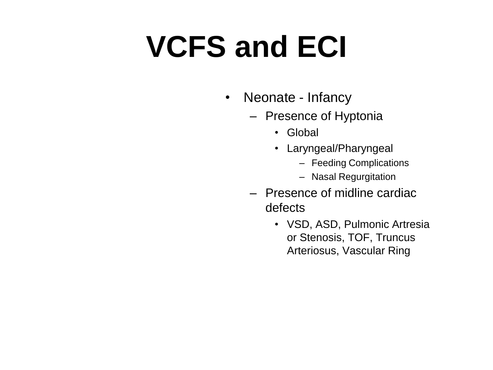- Neonate Infancy
	- Presence of Hyptonia
		- Global
		- Laryngeal/Pharyngeal
			- Feeding Complications
			- Nasal Regurgitation
	- Presence of midline cardiac defects
		- VSD, ASD, Pulmonic Artresia or Stenosis, TOF, Truncus Arteriosus, Vascular Ring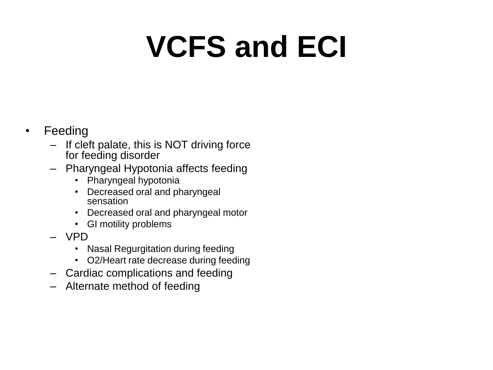#### • Feeding

- If cleft palate, this is NOT driving force for feeding disorder
- Pharyngeal Hypotonia affects feeding
	- Pharyngeal hypotonia
	- Decreased oral and pharyngeal sensation
	- Decreased oral and pharyngeal motor
	- GI motility problems
- VPD
	- Nasal Regurgitation during feeding
	- O2/Heart rate decrease during feeding
- Cardiac complications and feeding
- Alternate method of feeding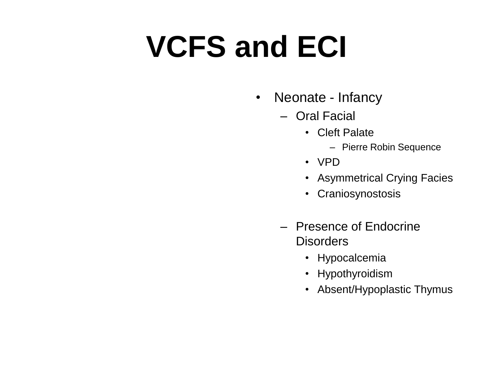- Neonate Infancy
	- Oral Facial
		- Cleft Palate
			- Pierre Robin Sequence
		- VPD
		- Asymmetrical Crying Facies
		- Craniosynostosis
	- Presence of Endocrine **Disorders** 
		- Hypocalcemia
		- Hypothyroidism
		- Absent/Hypoplastic Thymus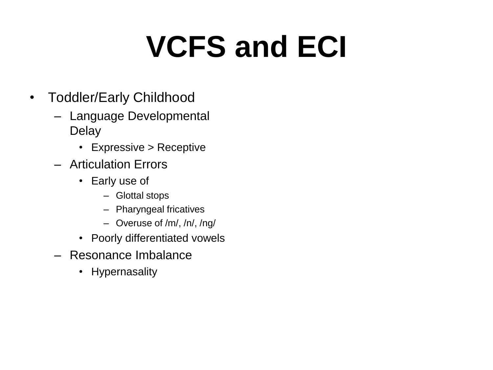- Toddler/Early Childhood
	- Language Developmental Delay
		- Expressive > Receptive
	- Articulation Errors
		- Early use of
			- Glottal stops
			- Pharyngeal fricatives
			- Overuse of /m/, /n/, /ng/
		- Poorly differentiated vowels
	- Resonance Imbalance
		- Hypernasality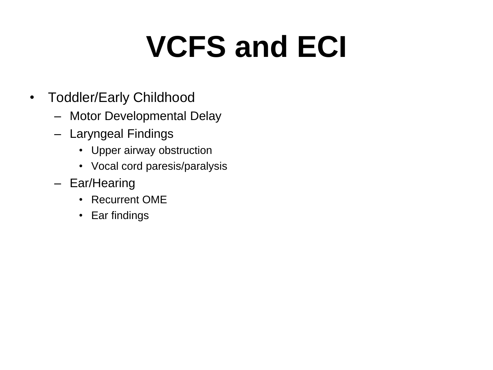- Toddler/Early Childhood
	- Motor Developmental Delay
	- Laryngeal Findings
		- Upper airway obstruction
		- Vocal cord paresis/paralysis
	- Ear/Hearing
		- Recurrent OME
		- Ear findings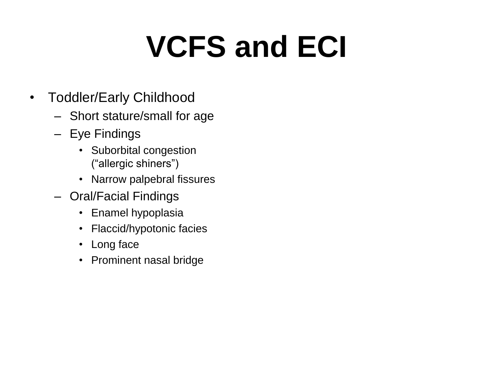- Toddler/Early Childhood
	- Short stature/small for age
	- Eye Findings
		- Suborbital congestion ("allergic shiners")
		- Narrow palpebral fissures
	- Oral/Facial Findings
		- Enamel hypoplasia
		- Flaccid/hypotonic facies
		- Long face
		- Prominent nasal bridge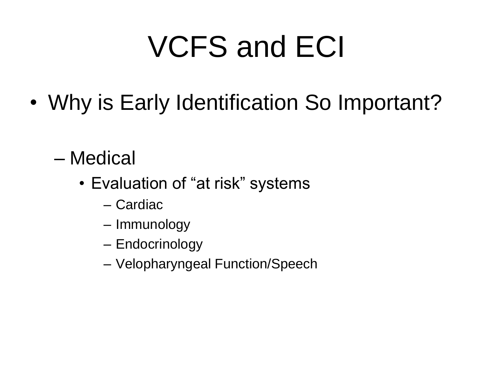- Why is Early Identification So Important?
	- Medical
		- Evaluation of "at risk" systems
			- Cardiac
			- Immunology
			- Endocrinology
			- Velopharyngeal Function/Speech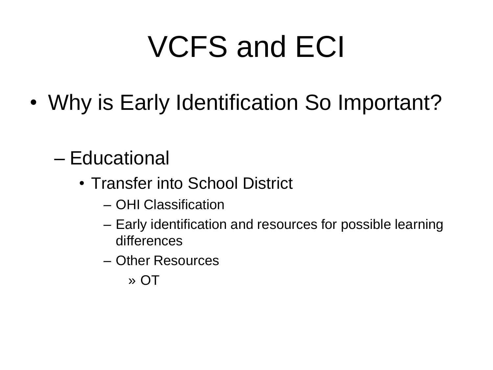• Why is Early Identification So Important?

### – Educational

- Transfer into School District
	- OHI Classification
	- Early identification and resources for possible learning differences
	- Other Resources
		- » OT